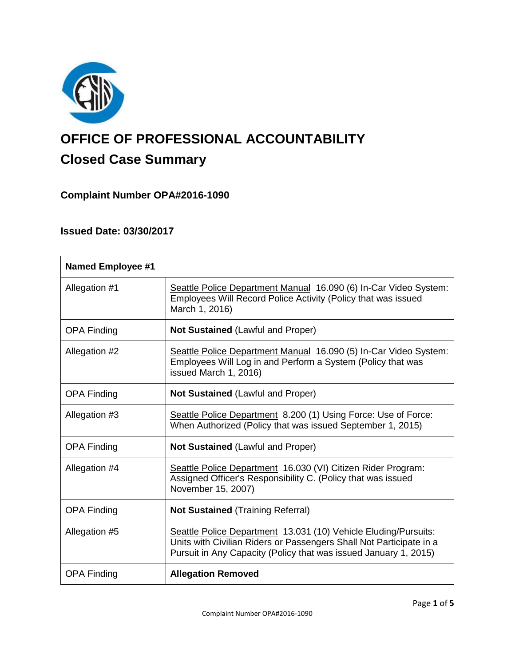

# **OFFICE OF PROFESSIONAL ACCOUNTABILITY Closed Case Summary**

# **Complaint Number OPA#2016-1090**

# **Issued Date: 03/30/2017**

| <b>Named Employee #1</b> |                                                                                                                                                                                                            |
|--------------------------|------------------------------------------------------------------------------------------------------------------------------------------------------------------------------------------------------------|
| Allegation #1            | Seattle Police Department Manual 16.090 (6) In-Car Video System:<br>Employees Will Record Police Activity (Policy that was issued<br>March 1, 2016)                                                        |
| <b>OPA Finding</b>       | <b>Not Sustained (Lawful and Proper)</b>                                                                                                                                                                   |
| Allegation #2            | Seattle Police Department Manual 16.090 (5) In-Car Video System:<br>Employees Will Log in and Perform a System (Policy that was<br>issued March 1, 2016)                                                   |
| <b>OPA Finding</b>       | <b>Not Sustained (Lawful and Proper)</b>                                                                                                                                                                   |
| Allegation #3            | Seattle Police Department 8.200 (1) Using Force: Use of Force:<br>When Authorized (Policy that was issued September 1, 2015)                                                                               |
| <b>OPA Finding</b>       | <b>Not Sustained (Lawful and Proper)</b>                                                                                                                                                                   |
| Allegation #4            | Seattle Police Department 16.030 (VI) Citizen Rider Program:<br>Assigned Officer's Responsibility C. (Policy that was issued<br>November 15, 2007)                                                         |
| <b>OPA Finding</b>       | <b>Not Sustained (Training Referral)</b>                                                                                                                                                                   |
| Allegation #5            | Seattle Police Department 13.031 (10) Vehicle Eluding/Pursuits:<br>Units with Civilian Riders or Passengers Shall Not Participate in a<br>Pursuit in Any Capacity (Policy that was issued January 1, 2015) |
| <b>OPA Finding</b>       | <b>Allegation Removed</b>                                                                                                                                                                                  |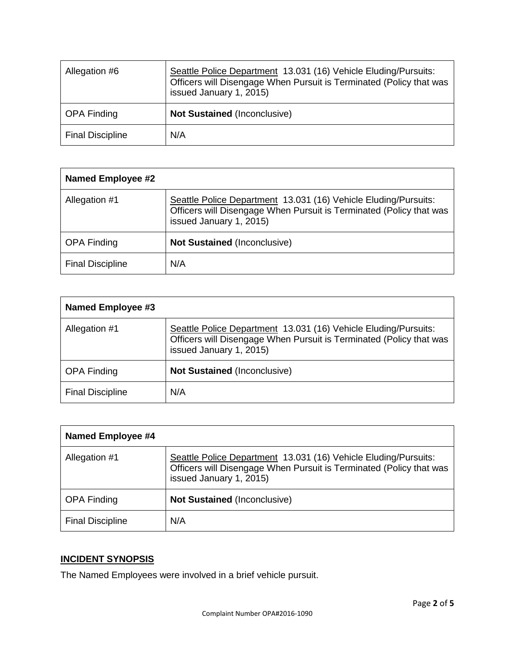| Allegation #6           | Seattle Police Department 13.031 (16) Vehicle Eluding/Pursuits:<br>Officers will Disengage When Pursuit is Terminated (Policy that was<br>issued January 1, 2015) |
|-------------------------|-------------------------------------------------------------------------------------------------------------------------------------------------------------------|
| <b>OPA Finding</b>      | <b>Not Sustained (Inconclusive)</b>                                                                                                                               |
| <b>Final Discipline</b> | N/A                                                                                                                                                               |

| <b>Named Employee #2</b> |                                                                                                                                                                   |
|--------------------------|-------------------------------------------------------------------------------------------------------------------------------------------------------------------|
| Allegation #1            | Seattle Police Department 13.031 (16) Vehicle Eluding/Pursuits:<br>Officers will Disengage When Pursuit is Terminated (Policy that was<br>issued January 1, 2015) |
| <b>OPA Finding</b>       | <b>Not Sustained (Inconclusive)</b>                                                                                                                               |
| <b>Final Discipline</b>  | N/A                                                                                                                                                               |

| <b>Named Employee #3</b> |                                                                                                                                                                   |
|--------------------------|-------------------------------------------------------------------------------------------------------------------------------------------------------------------|
| Allegation #1            | Seattle Police Department 13.031 (16) Vehicle Eluding/Pursuits:<br>Officers will Disengage When Pursuit is Terminated (Policy that was<br>issued January 1, 2015) |
| <b>OPA Finding</b>       | <b>Not Sustained (Inconclusive)</b>                                                                                                                               |
| <b>Final Discipline</b>  | N/A                                                                                                                                                               |

| <b>Named Employee #4</b> |                                                                                                                                                                   |
|--------------------------|-------------------------------------------------------------------------------------------------------------------------------------------------------------------|
| Allegation #1            | Seattle Police Department 13.031 (16) Vehicle Eluding/Pursuits:<br>Officers will Disengage When Pursuit is Terminated (Policy that was<br>issued January 1, 2015) |
| <b>OPA Finding</b>       | <b>Not Sustained (Inconclusive)</b>                                                                                                                               |
| <b>Final Discipline</b>  | N/A                                                                                                                                                               |

# **INCIDENT SYNOPSIS**

The Named Employees were involved in a brief vehicle pursuit.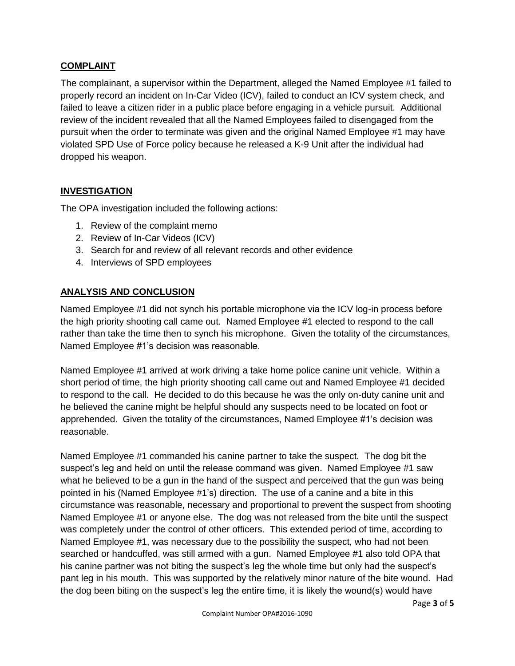# **COMPLAINT**

The complainant, a supervisor within the Department, alleged the Named Employee #1 failed to properly record an incident on In-Car Video (ICV), failed to conduct an ICV system check, and failed to leave a citizen rider in a public place before engaging in a vehicle pursuit. Additional review of the incident revealed that all the Named Employees failed to disengaged from the pursuit when the order to terminate was given and the original Named Employee #1 may have violated SPD Use of Force policy because he released a K-9 Unit after the individual had dropped his weapon.

# **INVESTIGATION**

The OPA investigation included the following actions:

- 1. Review of the complaint memo
- 2. Review of In-Car Videos (ICV)
- 3. Search for and review of all relevant records and other evidence
- 4. Interviews of SPD employees

#### **ANALYSIS AND CONCLUSION**

Named Employee #1 did not synch his portable microphone via the ICV log-in process before the high priority shooting call came out. Named Employee #1 elected to respond to the call rather than take the time then to synch his microphone. Given the totality of the circumstances, Named Employee #1's decision was reasonable.

Named Employee #1 arrived at work driving a take home police canine unit vehicle. Within a short period of time, the high priority shooting call came out and Named Employee #1 decided to respond to the call. He decided to do this because he was the only on-duty canine unit and he believed the canine might be helpful should any suspects need to be located on foot or apprehended. Given the totality of the circumstances, Named Employee #1's decision was reasonable.

Named Employee #1 commanded his canine partner to take the suspect. The dog bit the suspect's leg and held on until the release command was given. Named Employee #1 saw what he believed to be a gun in the hand of the suspect and perceived that the gun was being pointed in his (Named Employee #1's) direction. The use of a canine and a bite in this circumstance was reasonable, necessary and proportional to prevent the suspect from shooting Named Employee #1 or anyone else. The dog was not released from the bite until the suspect was completely under the control of other officers. This extended period of time, according to Named Employee #1, was necessary due to the possibility the suspect, who had not been searched or handcuffed, was still armed with a gun. Named Employee #1 also told OPA that his canine partner was not biting the suspect's leg the whole time but only had the suspect's pant leg in his mouth. This was supported by the relatively minor nature of the bite wound. Had the dog been biting on the suspect's leg the entire time, it is likely the wound(s) would have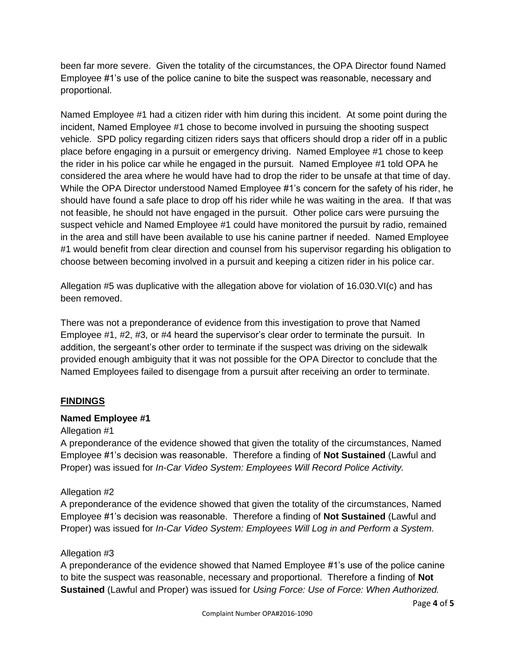been far more severe. Given the totality of the circumstances, the OPA Director found Named Employee #1's use of the police canine to bite the suspect was reasonable, necessary and proportional.

Named Employee #1 had a citizen rider with him during this incident. At some point during the incident, Named Employee #1 chose to become involved in pursuing the shooting suspect vehicle. SPD policy regarding citizen riders says that officers should drop a rider off in a public place before engaging in a pursuit or emergency driving. Named Employee #1 chose to keep the rider in his police car while he engaged in the pursuit. Named Employee #1 told OPA he considered the area where he would have had to drop the rider to be unsafe at that time of day. While the OPA Director understood Named Employee #1's concern for the safety of his rider, he should have found a safe place to drop off his rider while he was waiting in the area. If that was not feasible, he should not have engaged in the pursuit. Other police cars were pursuing the suspect vehicle and Named Employee #1 could have monitored the pursuit by radio, remained in the area and still have been available to use his canine partner if needed. Named Employee #1 would benefit from clear direction and counsel from his supervisor regarding his obligation to choose between becoming involved in a pursuit and keeping a citizen rider in his police car.

Allegation #5 was duplicative with the allegation above for violation of 16.030.VI(c) and has been removed.

There was not a preponderance of evidence from this investigation to prove that Named Employee #1, #2, #3, or #4 heard the supervisor's clear order to terminate the pursuit. In addition, the sergeant's other order to terminate if the suspect was driving on the sidewalk provided enough ambiguity that it was not possible for the OPA Director to conclude that the Named Employees failed to disengage from a pursuit after receiving an order to terminate.

# **FINDINGS**

# **Named Employee #1**

#### Allegation #1

A preponderance of the evidence showed that given the totality of the circumstances, Named Employee #1's decision was reasonable. Therefore a finding of **Not Sustained** (Lawful and Proper) was issued for *In-Car Video System: Employees Will Record Police Activity.*

# Allegation #2

A preponderance of the evidence showed that given the totality of the circumstances, Named Employee #1's decision was reasonable. Therefore a finding of **Not Sustained** (Lawful and Proper) was issued for *In-Car Video System: Employees Will Log in and Perform a System.*

#### Allegation #3

A preponderance of the evidence showed that Named Employee #1's use of the police canine to bite the suspect was reasonable, necessary and proportional. Therefore a finding of **Not Sustained** (Lawful and Proper) was issued for *Using Force: Use of Force: When Authorized.*